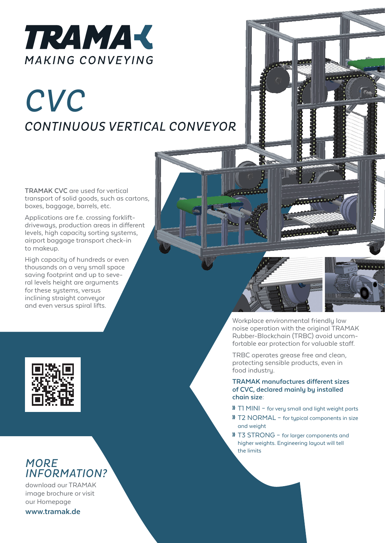

## *CVC CONTINUOUS VERTICAL CONVEYOR*

**TRAMAK CVC** are used for vertical transport of solid goods, such as cartons, boxes, baggage, barrels, etc.

Applications are f.e. crossing forkliftdriveways, production areas in different levels, high capacity sorting systems, airport baggage transport check-in to makeup.

High capacity of hundreds or even thousands on a very small space saving footprint and up to seve- ral levels height are arguments for these systems, versus inclining straight conveyor and even versus spiral lifts.



<u>The Colla</u>





## *MORE INFORMATION?*

download our TRAMAK image brochure or visit our Homepage

**www.tramak.de**

Workplace environmental friendly low noise operation with the original TRAMAK Rubber-Blockchain (TRBC) avoid uncom- fortable ear protection for valuable staff.

TRBC operates grease free and clean, protecting sensible products, even in food industry.

**TRAMAK manufactures different sizes of CVC, declared mainly by installed chain size:**

- **»** T1 MINI for very small and light weight parts
- **»** T2 NORMAL for typical components in size and weight
- **»** T3 STRONG for larger components and higher weights. Engineering layout will tell the limits